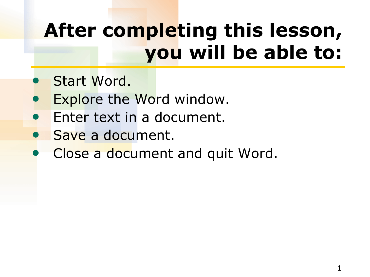# **After completing this lesson, you will be able to:**

- Start Word.
- Explore the Word window.
- Enter text in a document.
- Save a document.
- Close a document and quit Word.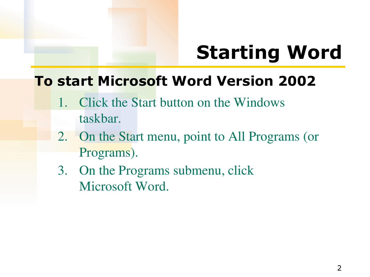# **Starting Word**

#### **To start Microsoft Word Version 2002**

- 1. Click the Start button on the Windows taskbar.
- 2. On the Start menu, point to All Programs (or Programs).
- 3. On the Programs submenu, click Microsoft Word.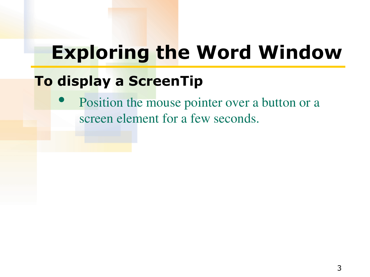### **Exploring the Word Window**

### **To display a ScreenTip**

Position the mouse pointer over a button or a screen element for a few seconds.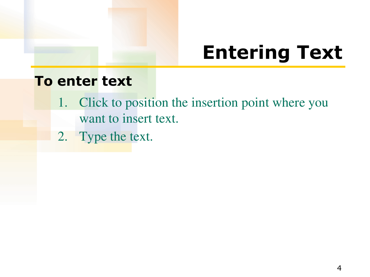### **Entering Text**

#### **To enter text**

- 1. Click to position the insertion point where you want to insert text.
- 2. Type the text.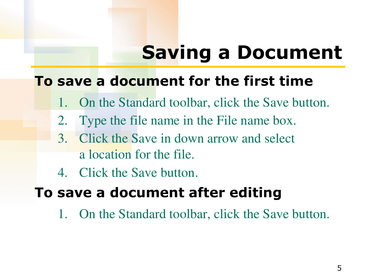# **Saving a Document**

#### **To save a document for the first time**

- 1. On the Standard toolbar, click the Save button.
- 2. Type the file name in the File name box.
- 3. Click the Save in down arrow and select a location for the file.
- 4. Click the Save button.

#### **To save a document after editing**

1. On the Standard toolbar, click the Save button.